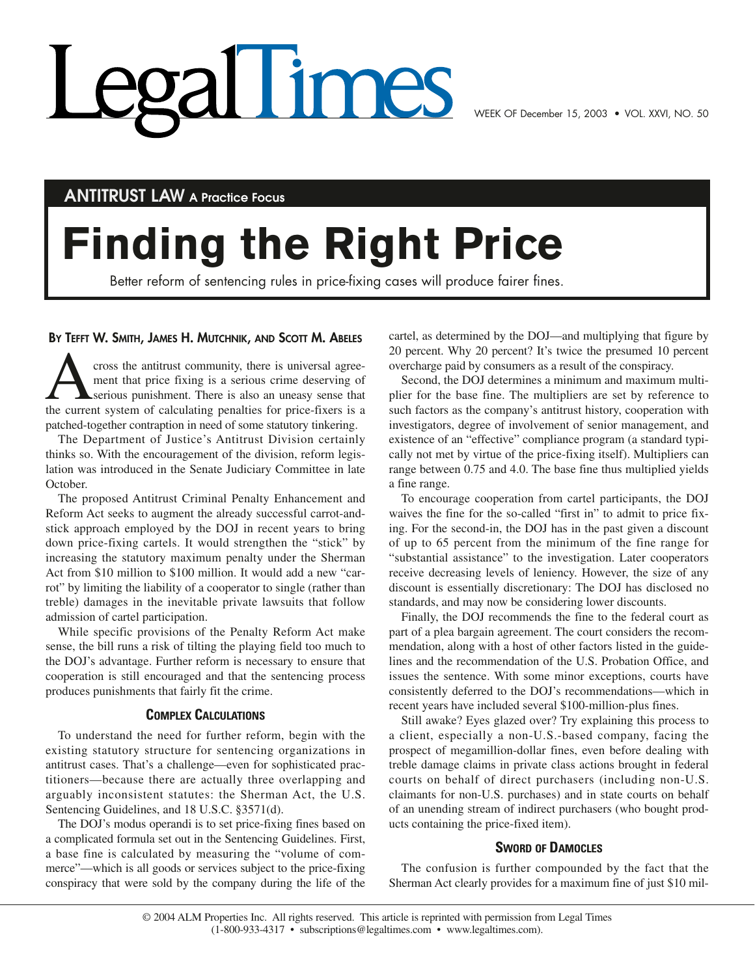# Times

**ANTITRUST LAW A Practice Focus**

## **Finding the Right Price**

Better reform of sentencing rules in price-fixing cases will produce fairer fines.

#### **BY TEFFT W. SMITH, JAMES H. MUTCHNIK, AND SCOTT M. ABELES**

**Across the antitrust community, there is universal agree-**<br>ment that price fixing is a serious crime deserving of<br>the current system of calculating penalties for price-fixers is a ment that price fixing is a serious crime deserving of serious punishment. There is also an uneasy sense that patched-together contraption in need of some statutory tinkering.

The Department of Justice's Antitrust Division certainly thinks so. With the encouragement of the division, reform legislation was introduced in the Senate Judiciary Committee in late October.

The proposed Antitrust Criminal Penalty Enhancement and Reform Act seeks to augment the already successful carrot-andstick approach employed by the DOJ in recent years to bring down price-fixing cartels. It would strengthen the "stick" by increasing the statutory maximum penalty under the Sherman Act from \$10 million to \$100 million. It would add a new "carrot" by limiting the liability of a cooperator to single (rather than treble) damages in the inevitable private lawsuits that follow admission of cartel participation.

While specific provisions of the Penalty Reform Act make sense, the bill runs a risk of tilting the playing field too much to the DOJ's advantage. Further reform is necessary to ensure that cooperation is still encouraged and that the sentencing process produces punishments that fairly fit the crime.

#### **COMPLEX CALCULATIONS**

To understand the need for further reform, begin with the existing statutory structure for sentencing organizations in antitrust cases. That's a challenge—even for sophisticated practitioners—because there are actually three overlapping and arguably inconsistent statutes: the Sherman Act, the U.S. Sentencing Guidelines, and 18 U.S.C. §3571(d).

The DOJ's modus operandi is to set price-fixing fines based on a complicated formula set out in the Sentencing Guidelines. First, a base fine is calculated by measuring the "volume of commerce"—which is all goods or services subject to the price-fixing conspiracy that were sold by the company during the life of the

cartel, as determined by the DOJ—and multiplying that figure by 20 percent. Why 20 percent? It's twice the presumed 10 percent overcharge paid by consumers as a result of the conspiracy.

Second, the DOJ determines a minimum and maximum multiplier for the base fine. The multipliers are set by reference to such factors as the company's antitrust history, cooperation with investigators, degree of involvement of senior management, and existence of an "effective" compliance program (a standard typically not met by virtue of the price-fixing itself). Multipliers can range between 0.75 and 4.0. The base fine thus multiplied yields a fine range.

To encourage cooperation from cartel participants, the DOJ waives the fine for the so-called "first in" to admit to price fixing. For the second-in, the DOJ has in the past given a discount of up to 65 percent from the minimum of the fine range for "substantial assistance" to the investigation. Later cooperators receive decreasing levels of leniency. However, the size of any discount is essentially discretionary: The DOJ has disclosed no standards, and may now be considering lower discounts.

Finally, the DOJ recommends the fine to the federal court as part of a plea bargain agreement. The court considers the recommendation, along with a host of other factors listed in the guidelines and the recommendation of the U.S. Probation Office, and issues the sentence. With some minor exceptions, courts have consistently deferred to the DOJ's recommendations—which in recent years have included several \$100-million-plus fines.

Still awake? Eyes glazed over? Try explaining this process to a client, especially a non-U.S.-based company, facing the prospect of megamillion-dollar fines, even before dealing with treble damage claims in private class actions brought in federal courts on behalf of direct purchasers (including non-U.S. claimants for non-U.S. purchases) and in state courts on behalf of an unending stream of indirect purchasers (who bought products containing the price-fixed item).

#### **SWORD OF DAMOCLES**

The confusion is further compounded by the fact that the Sherman Act clearly provides for a maximum fine of just \$10 mil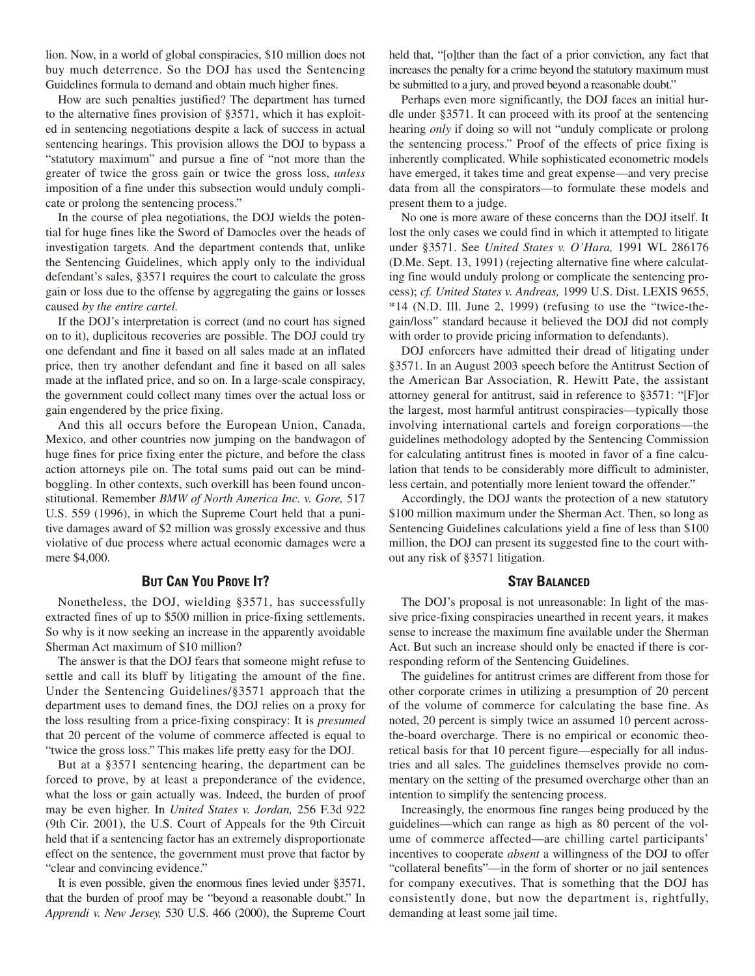lion. Now, in a world of global conspiracies, \$10 million does not buy much deterrence. So the DOJ has used the Sentencing Guidelines formula to demand and obtain much higher fines.

How are such penalties justified? The department has turned to the alternative fines provision of §3571, which it has exploited in sentencing negotiations despite a lack of success in actual sentencing hearings. This provision allows the DOJ to bypass a "statutory maximum" and pursue a fine of "not more than the greater of twice the gross gain or twice the gross loss, *unless* imposition of a fine under this subsection would unduly complicate or prolong the sentencing process."

In the course of plea negotiations, the DOJ wields the potential for huge fines like the Sword of Damocles over the heads of investigation targets. And the department contends that, unlike the Sentencing Guidelines, which apply only to the individual defendant's sales, §3571 requires the court to calculate the gross gain or loss due to the offense by aggregating the gains or losses caused *by the entire cartel.*

If the DOJ's interpretation is correct (and no court has signed on to it), duplicitous recoveries are possible. The DOJ could try one defendant and fine it based on all sales made at an inflated price, then try another defendant and fine it based on all sales made at the inflated price, and so on. In a large-scale conspiracy, the government could collect many times over the actual loss or gain engendered by the price fixing.

And this all occurs before the European Union, Canada, Mexico, and other countries now jumping on the bandwagon of huge fines for price fixing enter the picture, and before the class action attorneys pile on. The total sums paid out can be mindboggling. In other contexts, such overkill has been found unconstitutional. Remember *BMW of North America Inc. v. Gore,* 517 U.S. 559 (1996), in which the Supreme Court held that a punitive damages award of \$2 million was grossly excessive and thus violative of due process where actual economic damages were a mere \$4,000.

#### **BUT CAN YOU PROVE IT?**

Nonetheless, the DOJ, wielding §3571, has successfully extracted fines of up to \$500 million in price-fixing settlements. So why is it now seeking an increase in the apparently avoidable Sherman Act maximum of \$10 million?

The answer is that the DOJ fears that someone might refuse to settle and call its bluff by litigating the amount of the fine. Under the Sentencing Guidelines/§3571 approach that the department uses to demand fines, the DOJ relies on a proxy for the loss resulting from a price-fixing conspiracy: It is *presumed* that 20 percent of the volume of commerce affected is equal to "twice the gross loss." This makes life pretty easy for the DOJ.

But at a §3571 sentencing hearing, the department can be forced to prove, by at least a preponderance of the evidence, what the loss or gain actually was. Indeed, the burden of proof may be even higher. In *United States v. Jordan,* 256 F.3d 922 (9th Cir. 2001), the U.S. Court of Appeals for the 9th Circuit held that if a sentencing factor has an extremely disproportionate effect on the sentence, the government must prove that factor by "clear and convincing evidence."

It is even possible, given the enormous fines levied under §3571, that the burden of proof may be "beyond a reasonable doubt." In *Apprendi v. New Jersey,* 530 U.S. 466 (2000), the Supreme Court held that, "[o]ther than the fact of a prior conviction, any fact that increases the penalty for a crime beyond the statutory maximum must be submitted to a jury, and proved beyond a reasonable doubt."

Perhaps even more significantly, the DOJ faces an initial hurdle under §3571. It can proceed with its proof at the sentencing hearing *only* if doing so will not "unduly complicate or prolong the sentencing process." Proof of the effects of price fixing is inherently complicated. While sophisticated econometric models have emerged, it takes time and great expense—and very precise data from all the conspirators—to formulate these models and present them to a judge.

No one is more aware of these concerns than the DOJ itself. It lost the only cases we could find in which it attempted to litigate under §3571. See *United States v. O'Hara,* 1991 WL 286176 (D.Me. Sept. 13, 1991) (rejecting alternative fine where calculating fine would unduly prolong or complicate the sentencing process); *cf. United States v. Andreas,* 1999 U.S. Dist. LEXIS 9655, \*14 (N.D. Ill. June 2, 1999) (refusing to use the "twice-thegain/loss" standard because it believed the DOJ did not comply with order to provide pricing information to defendants).

DOJ enforcers have admitted their dread of litigating under §3571. In an August 2003 speech before the Antitrust Section of the American Bar Association, R. Hewitt Pate, the assistant attorney general for antitrust, said in reference to §3571: "[F]or the largest, most harmful antitrust conspiracies—typically those involving international cartels and foreign corporations—the guidelines methodology adopted by the Sentencing Commission for calculating antitrust fines is mooted in favor of a fine calculation that tends to be considerably more difficult to administer, less certain, and potentially more lenient toward the offender."

Accordingly, the DOJ wants the protection of a new statutory \$100 million maximum under the Sherman Act. Then, so long as Sentencing Guidelines calculations yield a fine of less than \$100 million, the DOJ can present its suggested fine to the court without any risk of §3571 litigation.

#### **STAY BALANCED**

The DOJ's proposal is not unreasonable: In light of the massive price-fixing conspiracies unearthed in recent years, it makes sense to increase the maximum fine available under the Sherman Act. But such an increase should only be enacted if there is corresponding reform of the Sentencing Guidelines.

The guidelines for antitrust crimes are different from those for other corporate crimes in utilizing a presumption of 20 percent of the volume of commerce for calculating the base fine. As noted, 20 percent is simply twice an assumed 10 percent acrossthe-board overcharge. There is no empirical or economic theoretical basis for that 10 percent figure—especially for all industries and all sales. The guidelines themselves provide no commentary on the setting of the presumed overcharge other than an intention to simplify the sentencing process.

Increasingly, the enormous fine ranges being produced by the guidelines—which can range as high as 80 percent of the volume of commerce affected—are chilling cartel participants' incentives to cooperate *absent* a willingness of the DOJ to offer "collateral benefits"—in the form of shorter or no jail sentences for company executives. That is something that the DOJ has consistently done, but now the department is, rightfully, demanding at least some jail time.